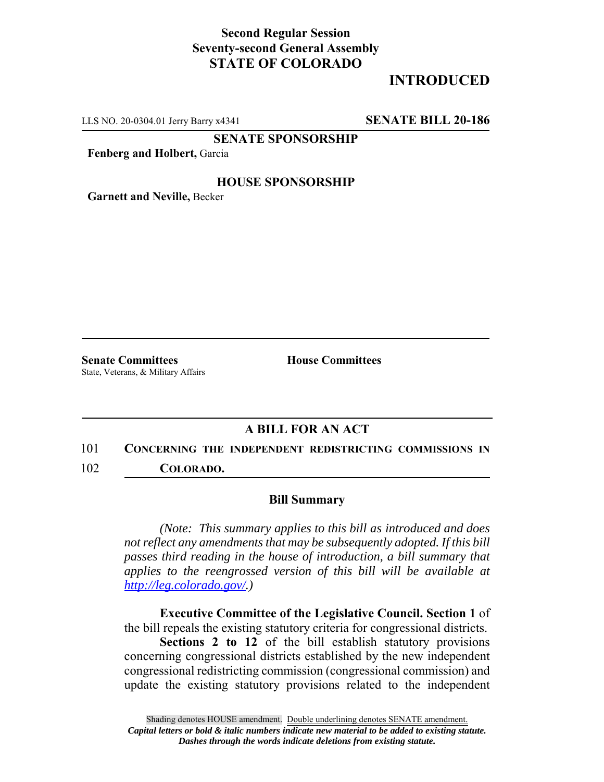### **Second Regular Session Seventy-second General Assembly STATE OF COLORADO**

# **INTRODUCED**

LLS NO. 20-0304.01 Jerry Barry x4341 **SENATE BILL 20-186**

**SENATE SPONSORSHIP**

**Fenberg and Holbert,** Garcia

#### **HOUSE SPONSORSHIP**

**Garnett and Neville,** Becker

**Senate Committees House Committees** State, Veterans, & Military Affairs

### **A BILL FOR AN ACT**

101 **CONCERNING THE INDEPENDENT REDISTRICTING COMMISSIONS IN** 102 **COLORADO.**

#### **Bill Summary**

*(Note: This summary applies to this bill as introduced and does not reflect any amendments that may be subsequently adopted. If this bill passes third reading in the house of introduction, a bill summary that applies to the reengrossed version of this bill will be available at http://leg.colorado.gov/.)*

**Executive Committee of the Legislative Council. Section 1** of the bill repeals the existing statutory criteria for congressional districts.

**Sections 2 to 12** of the bill establish statutory provisions concerning congressional districts established by the new independent congressional redistricting commission (congressional commission) and update the existing statutory provisions related to the independent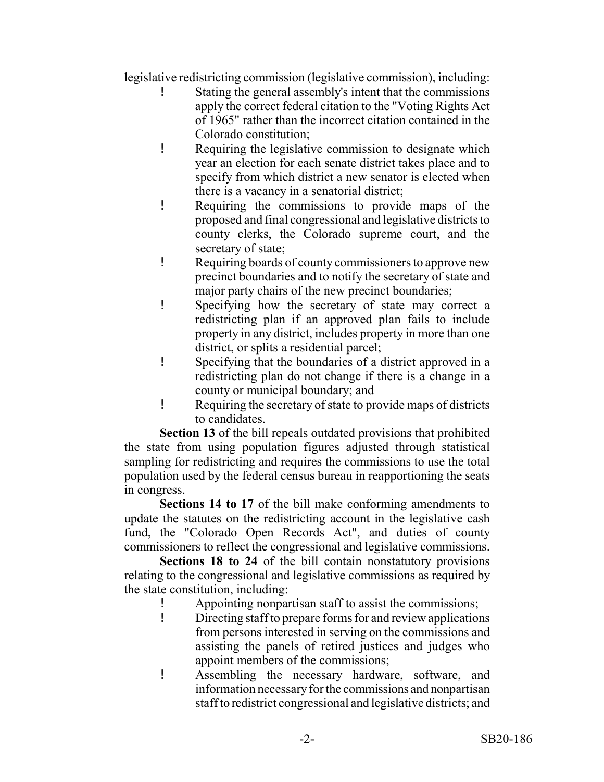legislative redistricting commission (legislative commission), including:

- Stating the general assembly's intent that the commissions apply the correct federal citation to the "Voting Rights Act of 1965" rather than the incorrect citation contained in the Colorado constitution;
- ! Requiring the legislative commission to designate which year an election for each senate district takes place and to specify from which district a new senator is elected when there is a vacancy in a senatorial district;
- ! Requiring the commissions to provide maps of the proposed and final congressional and legislative districts to county clerks, the Colorado supreme court, and the secretary of state;
- ! Requiring boards of county commissioners to approve new precinct boundaries and to notify the secretary of state and major party chairs of the new precinct boundaries;
- ! Specifying how the secretary of state may correct a redistricting plan if an approved plan fails to include property in any district, includes property in more than one district, or splits a residential parcel;
- ! Specifying that the boundaries of a district approved in a redistricting plan do not change if there is a change in a county or municipal boundary; and
- ! Requiring the secretary of state to provide maps of districts to candidates.

**Section 13** of the bill repeals outdated provisions that prohibited the state from using population figures adjusted through statistical sampling for redistricting and requires the commissions to use the total population used by the federal census bureau in reapportioning the seats in congress.

**Sections 14 to 17** of the bill make conforming amendments to update the statutes on the redistricting account in the legislative cash fund, the "Colorado Open Records Act", and duties of county commissioners to reflect the congressional and legislative commissions.

**Sections 18 to 24** of the bill contain nonstatutory provisions relating to the congressional and legislative commissions as required by the state constitution, including:

- ! Appointing nonpartisan staff to assist the commissions;
- ! Directing staff to prepare forms for and review applications from persons interested in serving on the commissions and assisting the panels of retired justices and judges who appoint members of the commissions;
- ! Assembling the necessary hardware, software, and information necessary for the commissions and nonpartisan staff to redistrict congressional and legislative districts; and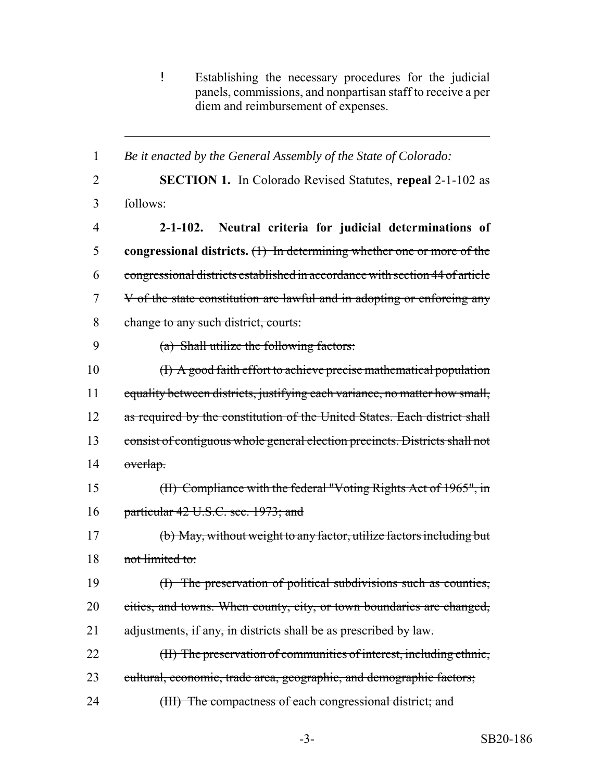! Establishing the necessary procedures for the judicial panels, commissions, and nonpartisan staff to receive a per diem and reimbursement of expenses.

 **SECTION 1.** In Colorado Revised Statutes, **repeal** 2-1-102 as follows: **2-1-102. Neutral criteria for judicial determinations of congressional districts.** (1) In determining whether one or more of the congressional districts established in accordance with section 44 of article V of the state constitution are lawful and in adopting or enforcing any change to any such district, courts: (a) Shall utilize the following factors: (I) A good faith effort to achieve precise mathematical population 11 equality between districts, justifying each variance, no matter how small, 12 as required by the constitution of the United States. Each district shall consist of contiguous whole general election precincts. Districts shall not overlap. (II) Compliance with the federal "Voting Rights Act of 1965", in particular 42 U.S.C. sec. 1973; and (b) May, without weight to any factor, utilize factors including but 18 not limited to: (I) The preservation of political subdivisions such as counties, cities, and towns. When county, city, or town boundaries are changed, 21 adjustments, if any, in districts shall be as prescribed by law. (II) The preservation of communities of interest, including ethnic, cultural, economic, trade area, geographic, and demographic factors; 24 (III) The compactness of each congressional district; and

*Be it enacted by the General Assembly of the State of Colorado:*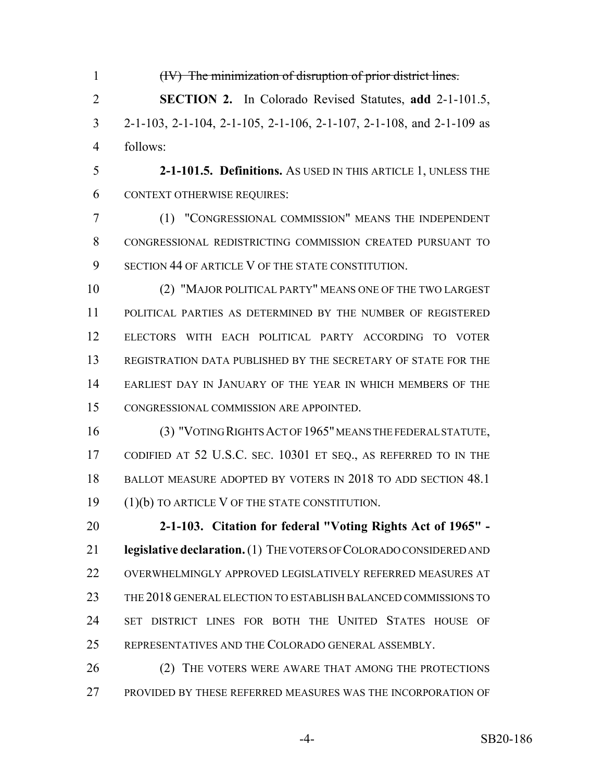(IV) The minimization of disruption of prior district lines. **SECTION 2.** In Colorado Revised Statutes, **add** 2-1-101.5, 2-1-103, 2-1-104, 2-1-105, 2-1-106, 2-1-107, 2-1-108, and 2-1-109 as follows:

 **2-1-101.5. Definitions.** AS USED IN THIS ARTICLE 1, UNLESS THE CONTEXT OTHERWISE REQUIRES:

 (1) "CONGRESSIONAL COMMISSION" MEANS THE INDEPENDENT CONGRESSIONAL REDISTRICTING COMMISSION CREATED PURSUANT TO 9 SECTION 44 OF ARTICLE V OF THE STATE CONSTITUTION.

 (2) "MAJOR POLITICAL PARTY" MEANS ONE OF THE TWO LARGEST POLITICAL PARTIES AS DETERMINED BY THE NUMBER OF REGISTERED ELECTORS WITH EACH POLITICAL PARTY ACCORDING TO VOTER REGISTRATION DATA PUBLISHED BY THE SECRETARY OF STATE FOR THE EARLIEST DAY IN JANUARY OF THE YEAR IN WHICH MEMBERS OF THE CONGRESSIONAL COMMISSION ARE APPOINTED.

 (3) "VOTING RIGHTS ACT OF 1965" MEANS THE FEDERAL STATUTE, 17 CODIFIED AT 52 U.S.C. SEC. 10301 ET SEQ., AS REFERRED TO IN THE BALLOT MEASURE ADOPTED BY VOTERS IN 2018 TO ADD SECTION 48.1 (1)(b) TO ARTICLE V OF THE STATE CONSTITUTION.

 **2-1-103. Citation for federal "Voting Rights Act of 1965" - legislative declaration.** (1) THE VOTERS OF COLORADO CONSIDERED AND OVERWHELMINGLY APPROVED LEGISLATIVELY REFERRED MEASURES AT THE 2018 GENERAL ELECTION TO ESTABLISH BALANCED COMMISSIONS TO SET DISTRICT LINES FOR BOTH THE UNITED STATES HOUSE OF REPRESENTATIVES AND THE COLORADO GENERAL ASSEMBLY.

26 (2) THE VOTERS WERE AWARE THAT AMONG THE PROTECTIONS PROVIDED BY THESE REFERRED MEASURES WAS THE INCORPORATION OF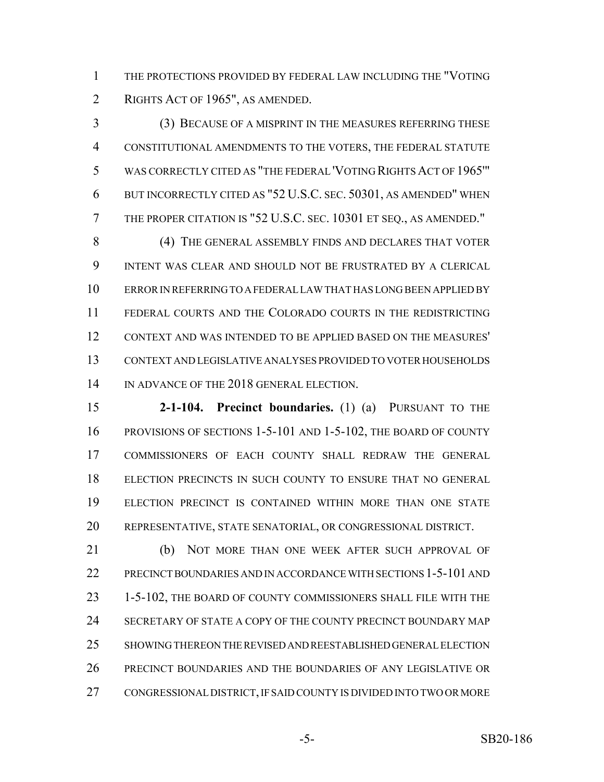THE PROTECTIONS PROVIDED BY FEDERAL LAW INCLUDING THE "VOTING RIGHTS ACT OF 1965", AS AMENDED.

 (3) BECAUSE OF A MISPRINT IN THE MEASURES REFERRING THESE CONSTITUTIONAL AMENDMENTS TO THE VOTERS, THE FEDERAL STATUTE WAS CORRECTLY CITED AS "THE FEDERAL 'VOTING RIGHTS ACT OF 1965'" BUT INCORRECTLY CITED AS "52 U.S.C. SEC. 50301, AS AMENDED" WHEN THE PROPER CITATION IS "52 U.S.C. SEC. 10301 ET SEQ., AS AMENDED."

8 (4) THE GENERAL ASSEMBLY FINDS AND DECLARES THAT VOTER INTENT WAS CLEAR AND SHOULD NOT BE FRUSTRATED BY A CLERICAL ERROR IN REFERRING TO A FEDERAL LAW THAT HAS LONG BEEN APPLIED BY FEDERAL COURTS AND THE COLORADO COURTS IN THE REDISTRICTING CONTEXT AND WAS INTENDED TO BE APPLIED BASED ON THE MEASURES' CONTEXT AND LEGISLATIVE ANALYSES PROVIDED TO VOTER HOUSEHOLDS 14 IN ADVANCE OF THE 2018 GENERAL ELECTION.

 **2-1-104. Precinct boundaries.** (1) (a) PURSUANT TO THE PROVISIONS OF SECTIONS 1-5-101 AND 1-5-102, THE BOARD OF COUNTY COMMISSIONERS OF EACH COUNTY SHALL REDRAW THE GENERAL ELECTION PRECINCTS IN SUCH COUNTY TO ENSURE THAT NO GENERAL ELECTION PRECINCT IS CONTAINED WITHIN MORE THAN ONE STATE REPRESENTATIVE, STATE SENATORIAL, OR CONGRESSIONAL DISTRICT.

 (b) NOT MORE THAN ONE WEEK AFTER SUCH APPROVAL OF PRECINCT BOUNDARIES AND IN ACCORDANCE WITH SECTIONS 1-5-101 AND 1-5-102, THE BOARD OF COUNTY COMMISSIONERS SHALL FILE WITH THE SECRETARY OF STATE A COPY OF THE COUNTY PRECINCT BOUNDARY MAP SHOWING THEREON THE REVISED AND REESTABLISHED GENERAL ELECTION PRECINCT BOUNDARIES AND THE BOUNDARIES OF ANY LEGISLATIVE OR CONGRESSIONAL DISTRICT, IF SAID COUNTY IS DIVIDED INTO TWO OR MORE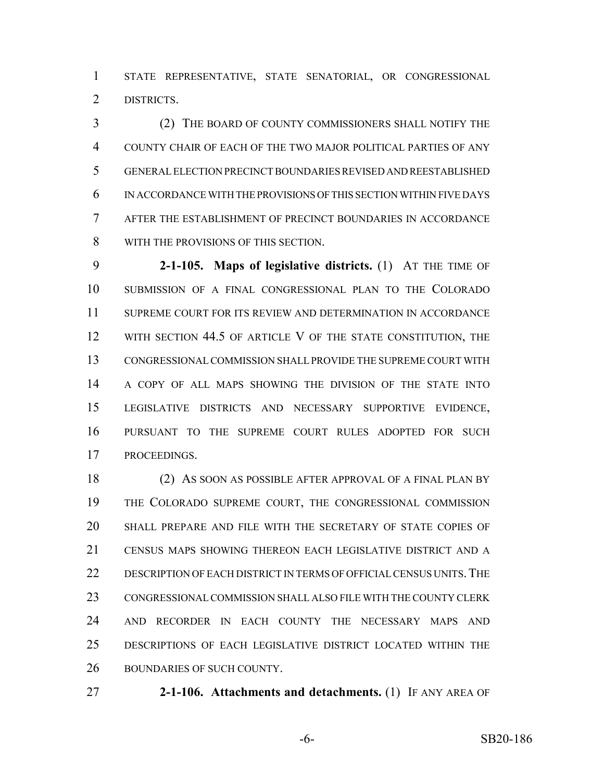STATE REPRESENTATIVE, STATE SENATORIAL, OR CONGRESSIONAL DISTRICTS.

 (2) THE BOARD OF COUNTY COMMISSIONERS SHALL NOTIFY THE COUNTY CHAIR OF EACH OF THE TWO MAJOR POLITICAL PARTIES OF ANY GENERAL ELECTION PRECINCT BOUNDARIES REVISED AND REESTABLISHED IN ACCORDANCE WITH THE PROVISIONS OF THIS SECTION WITHIN FIVE DAYS AFTER THE ESTABLISHMENT OF PRECINCT BOUNDARIES IN ACCORDANCE WITH THE PROVISIONS OF THIS SECTION.

 **2-1-105. Maps of legislative districts.** (1) AT THE TIME OF SUBMISSION OF A FINAL CONGRESSIONAL PLAN TO THE COLORADO SUPREME COURT FOR ITS REVIEW AND DETERMINATION IN ACCORDANCE 12 WITH SECTION 44.5 OF ARTICLE V OF THE STATE CONSTITUTION, THE CONGRESSIONAL COMMISSION SHALL PROVIDE THE SUPREME COURT WITH A COPY OF ALL MAPS SHOWING THE DIVISION OF THE STATE INTO LEGISLATIVE DISTRICTS AND NECESSARY SUPPORTIVE EVIDENCE, PURSUANT TO THE SUPREME COURT RULES ADOPTED FOR SUCH PROCEEDINGS.

 (2) AS SOON AS POSSIBLE AFTER APPROVAL OF A FINAL PLAN BY THE COLORADO SUPREME COURT, THE CONGRESSIONAL COMMISSION SHALL PREPARE AND FILE WITH THE SECRETARY OF STATE COPIES OF CENSUS MAPS SHOWING THEREON EACH LEGISLATIVE DISTRICT AND A 22 DESCRIPTION OF EACH DISTRICT IN TERMS OF OFFICIAL CENSUS UNITS. THE CONGRESSIONAL COMMISSION SHALL ALSO FILE WITH THE COUNTY CLERK AND RECORDER IN EACH COUNTY THE NECESSARY MAPS AND DESCRIPTIONS OF EACH LEGISLATIVE DISTRICT LOCATED WITHIN THE BOUNDARIES OF SUCH COUNTY.

**2-1-106. Attachments and detachments.** (1) IF ANY AREA OF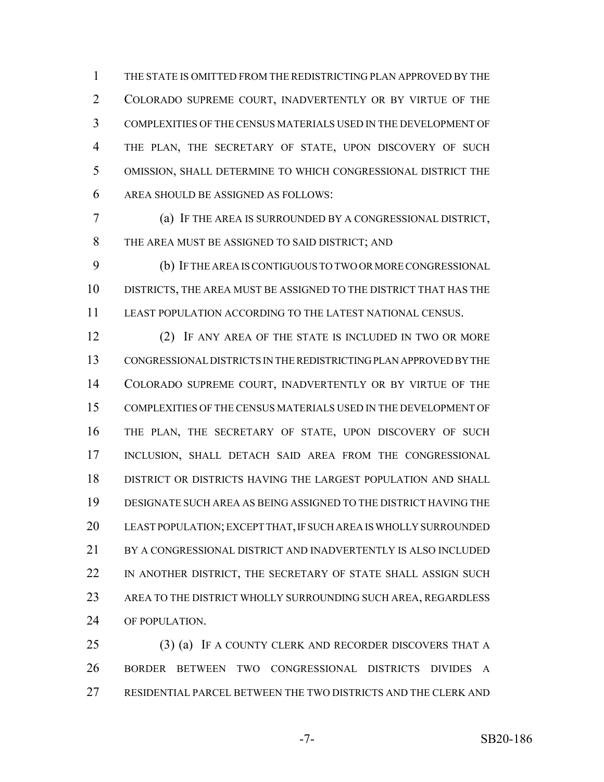THE STATE IS OMITTED FROM THE REDISTRICTING PLAN APPROVED BY THE COLORADO SUPREME COURT, INADVERTENTLY OR BY VIRTUE OF THE COMPLEXITIES OF THE CENSUS MATERIALS USED IN THE DEVELOPMENT OF 4 THE PLAN, THE SECRETARY OF STATE, UPON DISCOVERY OF SUCH OMISSION, SHALL DETERMINE TO WHICH CONGRESSIONAL DISTRICT THE AREA SHOULD BE ASSIGNED AS FOLLOWS:

 (a) IF THE AREA IS SURROUNDED BY A CONGRESSIONAL DISTRICT, THE AREA MUST BE ASSIGNED TO SAID DISTRICT; AND

 (b) IF THE AREA IS CONTIGUOUS TO TWO OR MORE CONGRESSIONAL DISTRICTS, THE AREA MUST BE ASSIGNED TO THE DISTRICT THAT HAS THE LEAST POPULATION ACCORDING TO THE LATEST NATIONAL CENSUS.

 (2) IF ANY AREA OF THE STATE IS INCLUDED IN TWO OR MORE CONGRESSIONAL DISTRICTS IN THE REDISTRICTING PLAN APPROVED BY THE COLORADO SUPREME COURT, INADVERTENTLY OR BY VIRTUE OF THE COMPLEXITIES OF THE CENSUS MATERIALS USED IN THE DEVELOPMENT OF THE PLAN, THE SECRETARY OF STATE, UPON DISCOVERY OF SUCH INCLUSION, SHALL DETACH SAID AREA FROM THE CONGRESSIONAL DISTRICT OR DISTRICTS HAVING THE LARGEST POPULATION AND SHALL DESIGNATE SUCH AREA AS BEING ASSIGNED TO THE DISTRICT HAVING THE LEAST POPULATION; EXCEPT THAT, IF SUCH AREA IS WHOLLY SURROUNDED BY A CONGRESSIONAL DISTRICT AND INADVERTENTLY IS ALSO INCLUDED 22 IN ANOTHER DISTRICT, THE SECRETARY OF STATE SHALL ASSIGN SUCH AREA TO THE DISTRICT WHOLLY SURROUNDING SUCH AREA, REGARDLESS OF POPULATION.

 (3) (a) IF A COUNTY CLERK AND RECORDER DISCOVERS THAT A BORDER BETWEEN TWO CONGRESSIONAL DISTRICTS DIVIDES A RESIDENTIAL PARCEL BETWEEN THE TWO DISTRICTS AND THE CLERK AND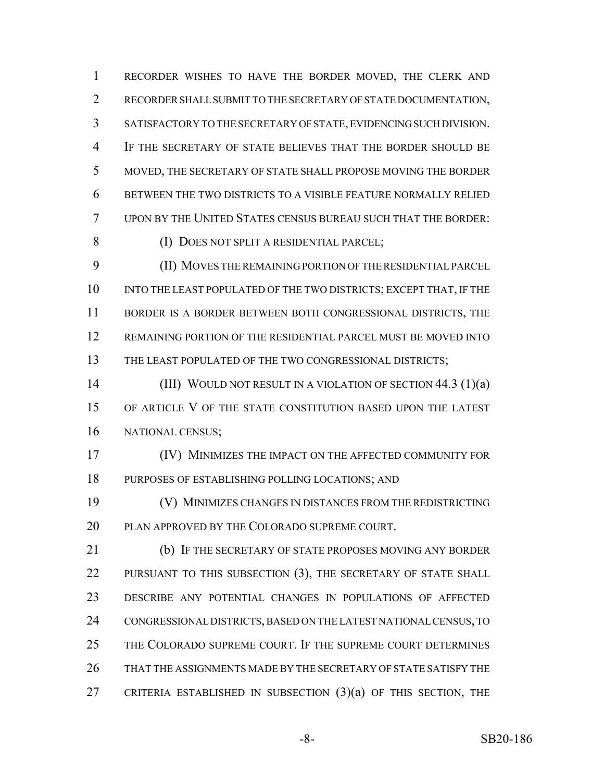RECORDER WISHES TO HAVE THE BORDER MOVED, THE CLERK AND RECORDER SHALL SUBMIT TO THE SECRETARY OF STATE DOCUMENTATION, SATISFACTORY TO THE SECRETARY OF STATE, EVIDENCING SUCH DIVISION. IF THE SECRETARY OF STATE BELIEVES THAT THE BORDER SHOULD BE MOVED, THE SECRETARY OF STATE SHALL PROPOSE MOVING THE BORDER BETWEEN THE TWO DISTRICTS TO A VISIBLE FEATURE NORMALLY RELIED UPON BY THE UNITED STATES CENSUS BUREAU SUCH THAT THE BORDER:

(I) DOES NOT SPLIT A RESIDENTIAL PARCEL;

 (II) MOVES THE REMAINING PORTION OF THE RESIDENTIAL PARCEL 10 INTO THE LEAST POPULATED OF THE TWO DISTRICTS; EXCEPT THAT, IF THE 11 BORDER IS A BORDER BETWEEN BOTH CONGRESSIONAL DISTRICTS, THE REMAINING PORTION OF THE RESIDENTIAL PARCEL MUST BE MOVED INTO 13 THE LEAST POPULATED OF THE TWO CONGRESSIONAL DISTRICTS;

**(III) WOULD NOT RESULT IN A VIOLATION OF SECTION 44.3 (1)(a)**  OF ARTICLE V OF THE STATE CONSTITUTION BASED UPON THE LATEST NATIONAL CENSUS;

 (IV) MINIMIZES THE IMPACT ON THE AFFECTED COMMUNITY FOR PURPOSES OF ESTABLISHING POLLING LOCATIONS; AND

 (V) MINIMIZES CHANGES IN DISTANCES FROM THE REDISTRICTING PLAN APPROVED BY THE COLORADO SUPREME COURT.

 (b) IF THE SECRETARY OF STATE PROPOSES MOVING ANY BORDER 22 PURSUANT TO THIS SUBSECTION (3), THE SECRETARY OF STATE SHALL DESCRIBE ANY POTENTIAL CHANGES IN POPULATIONS OF AFFECTED CONGRESSIONAL DISTRICTS, BASED ON THE LATEST NATIONAL CENSUS, TO THE COLORADO SUPREME COURT. IF THE SUPREME COURT DETERMINES THAT THE ASSIGNMENTS MADE BY THE SECRETARY OF STATE SATISFY THE CRITERIA ESTABLISHED IN SUBSECTION (3)(a) OF THIS SECTION, THE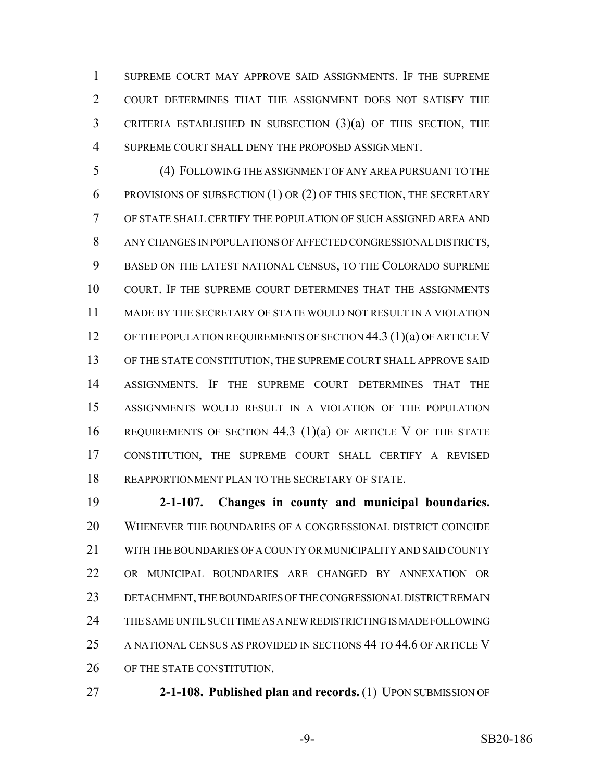SUPREME COURT MAY APPROVE SAID ASSIGNMENTS. IF THE SUPREME COURT DETERMINES THAT THE ASSIGNMENT DOES NOT SATISFY THE CRITERIA ESTABLISHED IN SUBSECTION (3)(a) OF THIS SECTION, THE SUPREME COURT SHALL DENY THE PROPOSED ASSIGNMENT.

 (4) FOLLOWING THE ASSIGNMENT OF ANY AREA PURSUANT TO THE PROVISIONS OF SUBSECTION (1) OR (2) OF THIS SECTION, THE SECRETARY OF STATE SHALL CERTIFY THE POPULATION OF SUCH ASSIGNED AREA AND ANY CHANGES IN POPULATIONS OF AFFECTED CONGRESSIONAL DISTRICTS, BASED ON THE LATEST NATIONAL CENSUS, TO THE COLORADO SUPREME COURT. IF THE SUPREME COURT DETERMINES THAT THE ASSIGNMENTS MADE BY THE SECRETARY OF STATE WOULD NOT RESULT IN A VIOLATION 12 OF THE POPULATION REQUIREMENTS OF SECTION 44.3 (1)(a) OF ARTICLE V OF THE STATE CONSTITUTION, THE SUPREME COURT SHALL APPROVE SAID ASSIGNMENTS. IF THE SUPREME COURT DETERMINES THAT THE ASSIGNMENTS WOULD RESULT IN A VIOLATION OF THE POPULATION REQUIREMENTS OF SECTION 44.3 (1)(a) OF ARTICLE V OF THE STATE CONSTITUTION, THE SUPREME COURT SHALL CERTIFY A REVISED REAPPORTIONMENT PLAN TO THE SECRETARY OF STATE.

 **2-1-107. Changes in county and municipal boundaries.** WHENEVER THE BOUNDARIES OF A CONGRESSIONAL DISTRICT COINCIDE WITH THE BOUNDARIES OF A COUNTY OR MUNICIPALITY AND SAID COUNTY OR MUNICIPAL BOUNDARIES ARE CHANGED BY ANNEXATION OR DETACHMENT, THE BOUNDARIES OF THE CONGRESSIONAL DISTRICT REMAIN THE SAME UNTIL SUCH TIME AS A NEW REDISTRICTING IS MADE FOLLOWING A NATIONAL CENSUS AS PROVIDED IN SECTIONS 44 TO 44.6 OF ARTICLE V OF THE STATE CONSTITUTION.

**2-1-108. Published plan and records.** (1) UPON SUBMISSION OF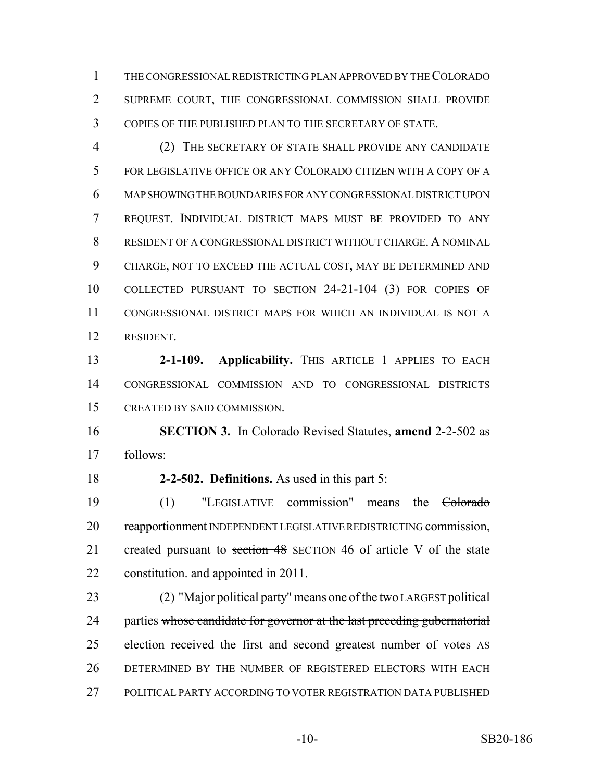THE CONGRESSIONAL REDISTRICTING PLAN APPROVED BY THE COLORADO SUPREME COURT, THE CONGRESSIONAL COMMISSION SHALL PROVIDE COPIES OF THE PUBLISHED PLAN TO THE SECRETARY OF STATE.

 (2) THE SECRETARY OF STATE SHALL PROVIDE ANY CANDIDATE FOR LEGISLATIVE OFFICE OR ANY COLORADO CITIZEN WITH A COPY OF A MAP SHOWING THE BOUNDARIES FOR ANY CONGRESSIONAL DISTRICT UPON REQUEST. INDIVIDUAL DISTRICT MAPS MUST BE PROVIDED TO ANY RESIDENT OF A CONGRESSIONAL DISTRICT WITHOUT CHARGE. A NOMINAL CHARGE, NOT TO EXCEED THE ACTUAL COST, MAY BE DETERMINED AND COLLECTED PURSUANT TO SECTION 24-21-104 (3) FOR COPIES OF CONGRESSIONAL DISTRICT MAPS FOR WHICH AN INDIVIDUAL IS NOT A RESIDENT.

**2-1-109. Applicability.** THIS ARTICLE 1 APPLIES TO EACH CONGRESSIONAL COMMISSION AND TO CONGRESSIONAL DISTRICTS CREATED BY SAID COMMISSION.

 **SECTION 3.** In Colorado Revised Statutes, **amend** 2-2-502 as follows:

**2-2-502. Definitions.** As used in this part 5:

 (1) "LEGISLATIVE commission" means the Colorado 20 reapportionment INDEPENDENT LEGISLATIVE REDISTRICTING commission, 21 created pursuant to section 48 SECTION 46 of article V of the state 22 constitution. and appointed in 2011.

 (2) "Major political party" means one of the two LARGEST political 24 parties whose candidate for governor at the last preceding gubernatorial 25 election received the first and second greatest number of votes AS DETERMINED BY THE NUMBER OF REGISTERED ELECTORS WITH EACH POLITICAL PARTY ACCORDING TO VOTER REGISTRATION DATA PUBLISHED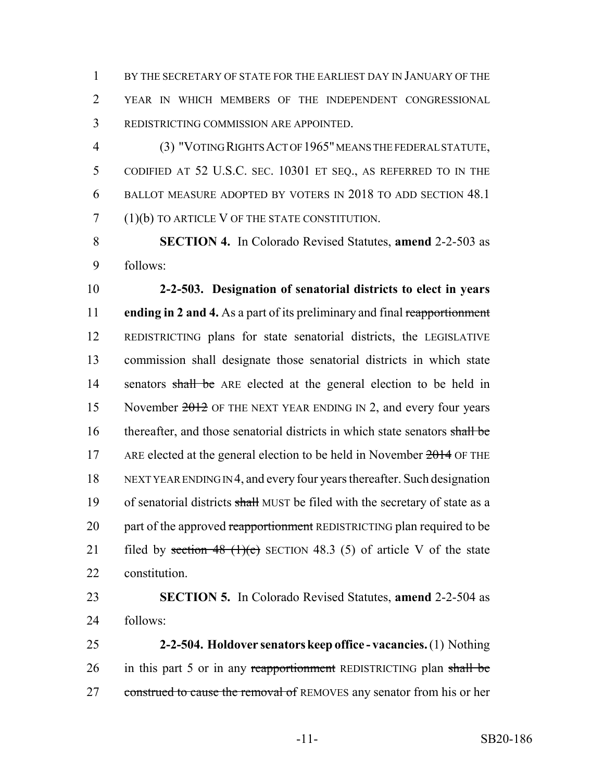BY THE SECRETARY OF STATE FOR THE EARLIEST DAY IN JANUARY OF THE YEAR IN WHICH MEMBERS OF THE INDEPENDENT CONGRESSIONAL REDISTRICTING COMMISSION ARE APPOINTED.

 (3) "VOTING RIGHTS ACT OF 1965" MEANS THE FEDERAL STATUTE, CODIFIED AT 52 U.S.C. SEC. 10301 ET SEQ., AS REFERRED TO IN THE BALLOT MEASURE ADOPTED BY VOTERS IN 2018 TO ADD SECTION 48.1 (1)(b) TO ARTICLE V OF THE STATE CONSTITUTION.

 **SECTION 4.** In Colorado Revised Statutes, **amend** 2-2-503 as follows:

 **2-2-503. Designation of senatorial districts to elect in years ending in 2 and 4.** As a part of its preliminary and final reapportionment REDISTRICTING plans for state senatorial districts, the LEGISLATIVE commission shall designate those senatorial districts in which state 14 senators shall be ARE elected at the general election to be held in 15 November 2012 OF THE NEXT YEAR ENDING IN 2, and every four years 16 thereafter, and those senatorial districts in which state senators shall be 17 ARE elected at the general election to be held in November OF THE NEXT YEAR ENDING IN 4, and every four years thereafter. Such designation 19 of senatorial districts shall MUST be filed with the secretary of state as a 20 part of the approved reapportionment REDISTRICTING plan required to be 21 filed by section 48  $(1)(e)$  SECTION 48.3 (5) of article V of the state constitution.

 **SECTION 5.** In Colorado Revised Statutes, **amend** 2-2-504 as follows:

 **2-2-504. Holdover senators keep office - vacancies.** (1) Nothing 26 in this part 5 or in any reapportionment REDISTRICTING plan shall be 27 construed to cause the removal of REMOVES any senator from his or her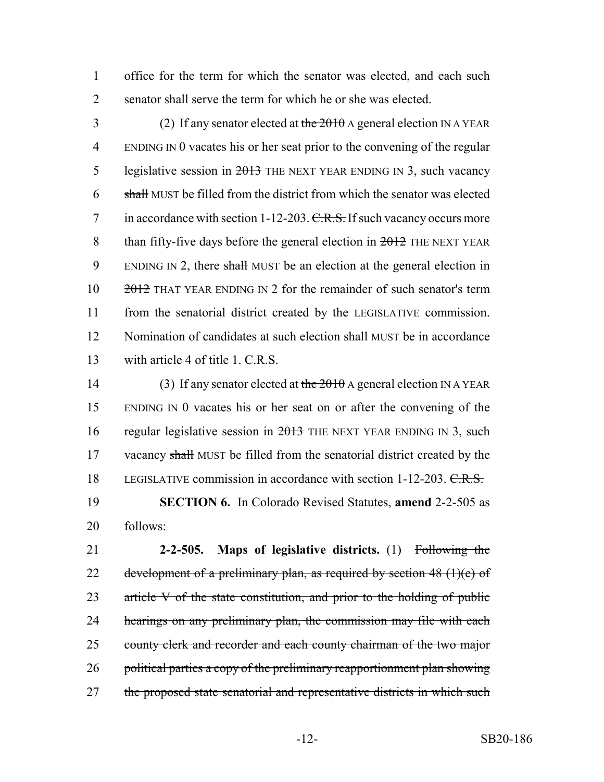1 office for the term for which the senator was elected, and each such 2 senator shall serve the term for which he or she was elected.

3 (2) If any senator elected at the  $2010$  A general election IN A YEAR 4 ENDING IN 0 vacates his or her seat prior to the convening of the regular 5 legislative session in 2013 THE NEXT YEAR ENDING IN 3, such vacancy  $6$  shall MUST be filled from the district from which the senator was elected 7 in accordance with section 1-12-203.  $C.R.S.$  If such vacancy occurs more 8 than fifty-five days before the general election in  $2012$  THE NEXT YEAR 9 ENDING IN 2, there shall MUST be an election at the general election in 10  $\frac{2012}{100}$  THAT YEAR ENDING IN 2 for the remainder of such senator's term 11 from the senatorial district created by the LEGISLATIVE commission. 12 Nomination of candidates at such election shall MUST be in accordance 13 with article 4 of title 1. C.R.S.

14 (3) If any senator elected at the  $2010$  A general election IN A YEAR 15 ENDING IN 0 vacates his or her seat on or after the convening of the 16 regular legislative session in  $2013$  THE NEXT YEAR ENDING IN 3, such 17 vacancy shall MUST be filled from the senatorial district created by the 18 LEGISLATIVE commission in accordance with section 1-12-203. C.R.S.

19 **SECTION 6.** In Colorado Revised Statutes, **amend** 2-2-505 as 20 follows:

21 **2-2-505. Maps of legislative districts.** (1) Following the 22 development of a preliminary plan, as required by section  $48 \text{ (1)(e)}$  of 23 article V of the state constitution, and prior to the holding of public 24 hearings on any preliminary plan, the commission may file with each 25 county clerk and recorder and each county chairman of the two major 26 political parties a copy of the preliminary reapportionment plan showing 27 the proposed state senatorial and representative districts in which such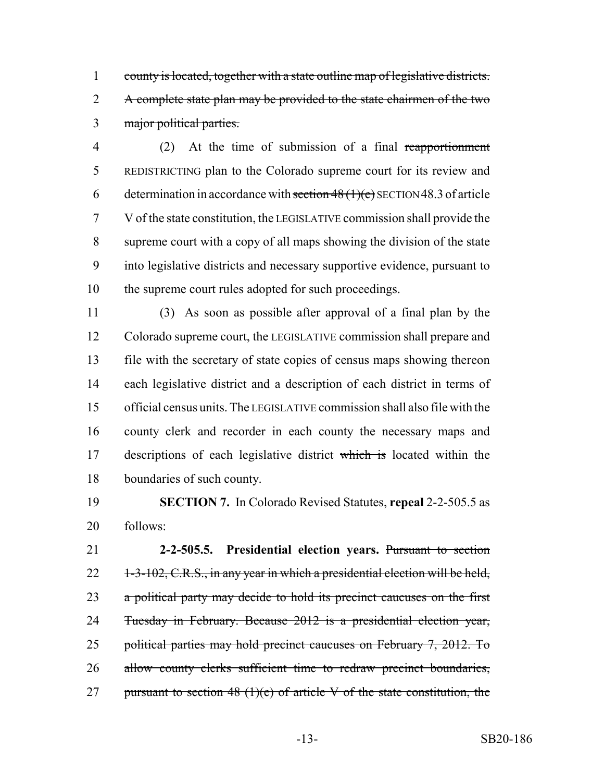1 county is located, together with a state outline map of legislative districts. 2 A complete state plan may be provided to the state chairmen of the two major political parties.

 (2) At the time of submission of a final reapportionment REDISTRICTING plan to the Colorado supreme court for its review and 6 determination in accordance with section  $48(1)(e)$  SECTION 48.3 of article V of the state constitution, the LEGISLATIVE commission shall provide the supreme court with a copy of all maps showing the division of the state into legislative districts and necessary supportive evidence, pursuant to the supreme court rules adopted for such proceedings.

 (3) As soon as possible after approval of a final plan by the Colorado supreme court, the LEGISLATIVE commission shall prepare and file with the secretary of state copies of census maps showing thereon each legislative district and a description of each district in terms of official census units. The LEGISLATIVE commission shall also file with the county clerk and recorder in each county the necessary maps and 17 descriptions of each legislative district which is located within the boundaries of such county.

 **SECTION 7.** In Colorado Revised Statutes, **repeal** 2-2-505.5 as follows:

 **2-2-505.5. Presidential election years.** Pursuant to section 22 1-3-102, C.R.S., in any year in which a presidential election will be held, 23 a political party may decide to hold its precinct caucuses on the first Tuesday in February. Because 2012 is a presidential election year, political parties may hold precinct caucuses on February 7, 2012. To 26 allow county clerks sufficient time to redraw precinct boundaries, 27 pursuant to section 48 (1)(e) of article V of the state constitution, the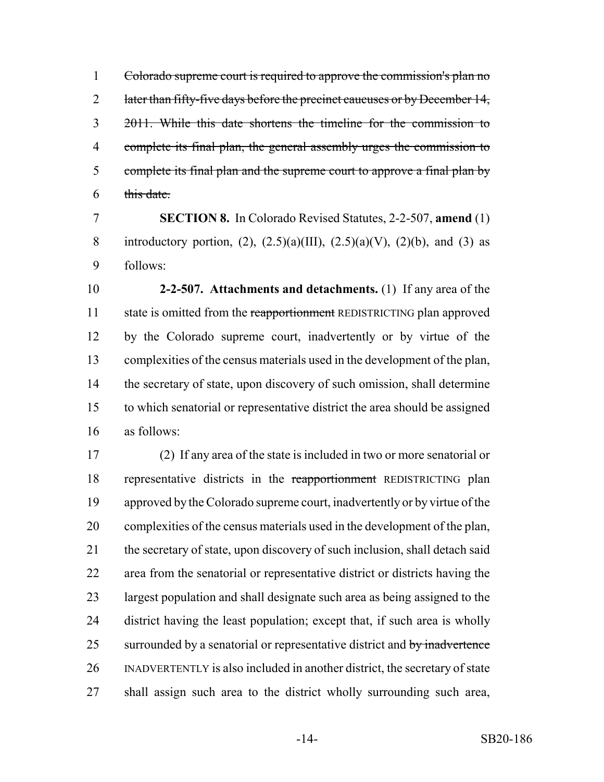Colorado supreme court is required to approve the commission's plan no 2 later than fifty-five days before the precinct caucuses or by December 14, 2011. While this date shortens the timeline for the commission to complete its final plan, the general assembly urges the commission to 5 complete its final plan and the supreme court to approve a final plan by this date.

 **SECTION 8.** In Colorado Revised Statutes, 2-2-507, **amend** (1) 8 introductory portion, (2),  $(2.5)(a)(III)$ ,  $(2.5)(a)(V)$ ,  $(2)(b)$ , and (3) as follows:

 **2-2-507. Attachments and detachments.** (1) If any area of the 11 state is omitted from the reapportionment REDISTRICTING plan approved by the Colorado supreme court, inadvertently or by virtue of the complexities of the census materials used in the development of the plan, 14 the secretary of state, upon discovery of such omission, shall determine to which senatorial or representative district the area should be assigned as follows:

 (2) If any area of the state is included in two or more senatorial or representative districts in the reapportionment REDISTRICTING plan approved by the Colorado supreme court, inadvertently or by virtue of the complexities of the census materials used in the development of the plan, the secretary of state, upon discovery of such inclusion, shall detach said area from the senatorial or representative district or districts having the largest population and shall designate such area as being assigned to the district having the least population; except that, if such area is wholly 25 surrounded by a senatorial or representative district and by inadvertence INADVERTENTLY is also included in another district, the secretary of state shall assign such area to the district wholly surrounding such area,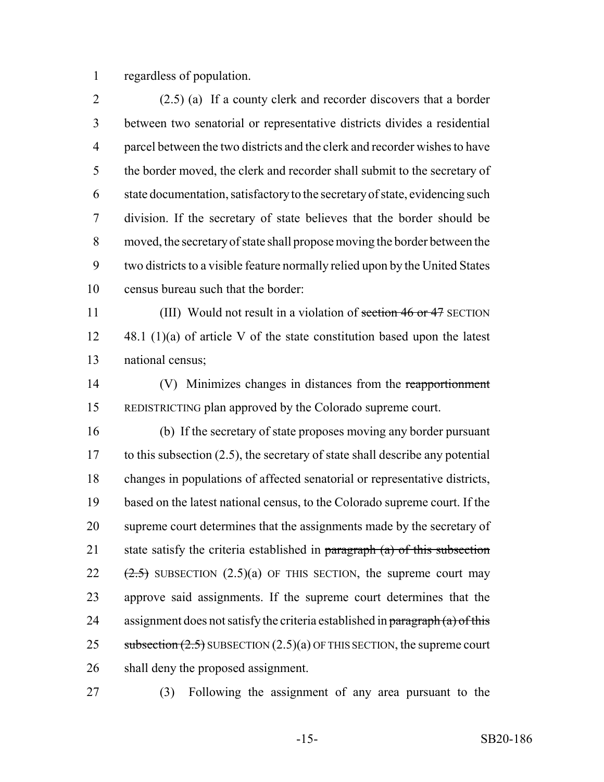regardless of population.

 (2.5) (a) If a county clerk and recorder discovers that a border between two senatorial or representative districts divides a residential parcel between the two districts and the clerk and recorder wishes to have the border moved, the clerk and recorder shall submit to the secretary of state documentation, satisfactory to the secretary of state, evidencing such division. If the secretary of state believes that the border should be moved, the secretary of state shall propose moving the border between the two districts to a visible feature normally relied upon by the United States census bureau such that the border:

11 (III) Would not result in a violation of section 46 or 47 SECTION 48.1 (1)(a) of article V of the state constitution based upon the latest national census;

 (V) Minimizes changes in distances from the reapportionment REDISTRICTING plan approved by the Colorado supreme court.

 (b) If the secretary of state proposes moving any border pursuant to this subsection (2.5), the secretary of state shall describe any potential changes in populations of affected senatorial or representative districts, based on the latest national census, to the Colorado supreme court. If the supreme court determines that the assignments made by the secretary of 21 state satisfy the criteria established in paragraph  $(a)$  of this subsection  $(2.5)$  SUBSECTION  $(2.5)(a)$  OF THIS SECTION, the supreme court may approve said assignments. If the supreme court determines that the 24 assignment does not satisfy the criteria established in  $\frac{1}{\text{paragnph (a) of this}}$ 25 subsection  $(2.5)$  SUBSECTION  $(2.5)(a)$  OF THIS SECTION, the supreme court shall deny the proposed assignment.

(3) Following the assignment of any area pursuant to the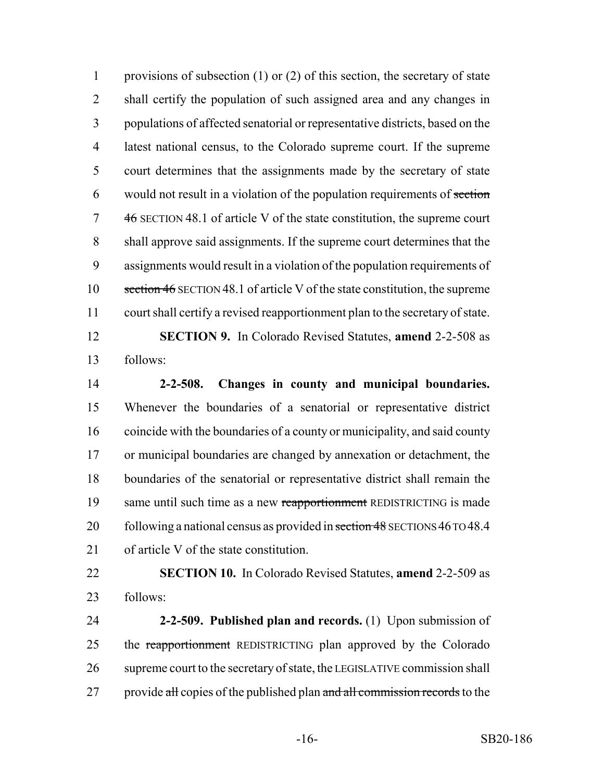provisions of subsection (1) or (2) of this section, the secretary of state shall certify the population of such assigned area and any changes in populations of affected senatorial or representative districts, based on the latest national census, to the Colorado supreme court. If the supreme court determines that the assignments made by the secretary of state would not result in a violation of the population requirements of section 46 SECTION 48.1 of article V of the state constitution, the supreme court shall approve said assignments. If the supreme court determines that the assignments would result in a violation of the population requirements of section 46 SECTION 48.1 of article V of the state constitution, the supreme court shall certify a revised reapportionment plan to the secretary of state.

 **SECTION 9.** In Colorado Revised Statutes, **amend** 2-2-508 as follows:

 **2-2-508. Changes in county and municipal boundaries.** Whenever the boundaries of a senatorial or representative district coincide with the boundaries of a county or municipality, and said county or municipal boundaries are changed by annexation or detachment, the boundaries of the senatorial or representative district shall remain the 19 same until such time as a new reapportionment REDISTRICTING is made 20 following a national census as provided in section 48 SECTIONS 46 TO 48.4 of article V of the state constitution.

 **SECTION 10.** In Colorado Revised Statutes, **amend** 2-2-509 as follows:

 **2-2-509. Published plan and records.** (1) Upon submission of 25 the reapportionment REDISTRICTING plan approved by the Colorado supreme court to the secretary of state, the LEGISLATIVE commission shall 27 provide all copies of the published plan and all commission records to the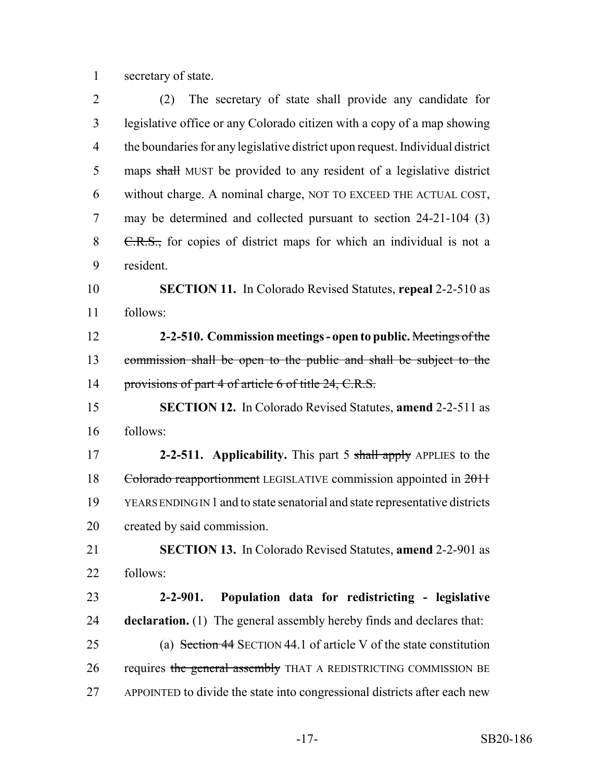secretary of state.

| $\overline{2}$ | The secretary of state shall provide any candidate for<br>(2)                 |
|----------------|-------------------------------------------------------------------------------|
| 3              | legislative office or any Colorado citizen with a copy of a map showing       |
| $\overline{4}$ | the boundaries for any legislative district upon request. Individual district |
| 5              | maps shall MUST be provided to any resident of a legislative district         |
| 6              | without charge. A nominal charge, NOT TO EXCEED THE ACTUAL COST,              |
| $\overline{7}$ | may be determined and collected pursuant to section 24-21-104 (3)             |
| 8              | C.R.S., for copies of district maps for which an individual is not a          |
| 9              | resident.                                                                     |
| 10             | <b>SECTION 11.</b> In Colorado Revised Statutes, repeal 2-2-510 as            |
| 11             | follows:                                                                      |
| 12             | 2-2-510. Commission meetings - open to public. Meetings of the                |
| 13             | commission shall be open to the public and shall be subject to the            |
| 14             | provisions of part 4 of article 6 of title 24, C.R.S.                         |
| 15             | <b>SECTION 12.</b> In Colorado Revised Statutes, <b>amend 2-2-511</b> as      |
| 16             | follows:                                                                      |
| 17             | 2-2-511. Applicability. This part 5 shall apply APPLIES to the                |
| 18             | Colorado reapportionment LEGISLATIVE commission appointed in 2011             |
| 19             |                                                                               |
|                | YEARS ENDING IN 1 and to state senatorial and state representative districts  |
|                | created by said commission.                                                   |
| 20<br>21       | SECTION 13. In Colorado Revised Statutes, amend 2-2-901 as                    |
|                | follows:                                                                      |
| 22<br>23       | Population data for redistricting - legislative<br>$2 - 2 - 901.$             |
|                | <b>declaration.</b> (1) The general assembly hereby finds and declares that:  |
| 24<br>25       | (a) Section 44 SECTION 44.1 of article V of the state constitution            |
| 26             | requires the general assembly THAT A REDISTRICTING COMMISSION BE              |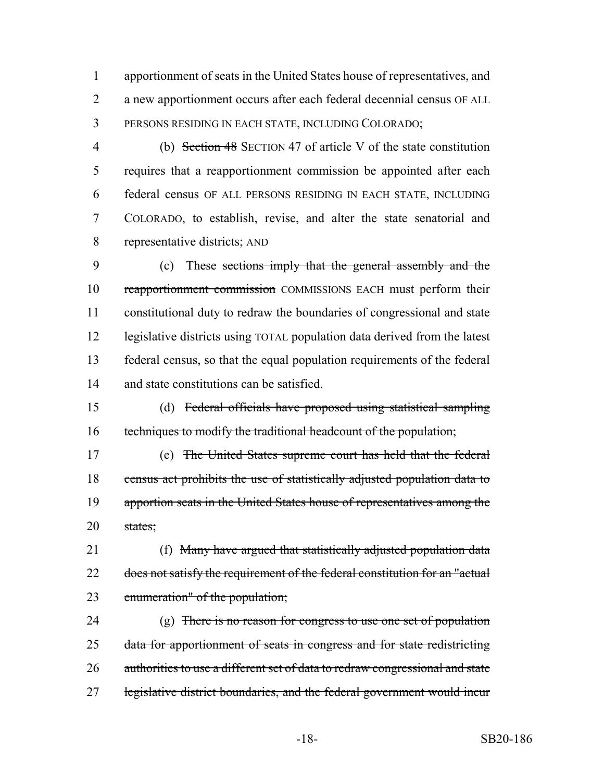apportionment of seats in the United States house of representatives, and a new apportionment occurs after each federal decennial census OF ALL PERSONS RESIDING IN EACH STATE, INCLUDING COLORADO;

 (b) Section 48 SECTION 47 of article V of the state constitution requires that a reapportionment commission be appointed after each federal census OF ALL PERSONS RESIDING IN EACH STATE, INCLUDING COLORADO, to establish, revise, and alter the state senatorial and representative districts; AND

 (c) These sections imply that the general assembly and the reapportionment commission COMMISSIONS EACH must perform their constitutional duty to redraw the boundaries of congressional and state legislative districts using TOTAL population data derived from the latest federal census, so that the equal population requirements of the federal and state constitutions can be satisfied.

 (d) Federal officials have proposed using statistical sampling techniques to modify the traditional headcount of the population;

 (e) The United States supreme court has held that the federal 18 census act prohibits the use of statistically adjusted population data to 19 apportion seats in the United States house of representatives among the states;

 (f) Many have argued that statistically adjusted population data 22 does not satisfy the requirement of the federal constitution for an "actual enumeration" of the population;

24 (g) There is no reason for congress to use one set of population data for apportionment of seats in congress and for state redistricting 26 authorities to use a different set of data to redraw congressional and state legislative district boundaries, and the federal government would incur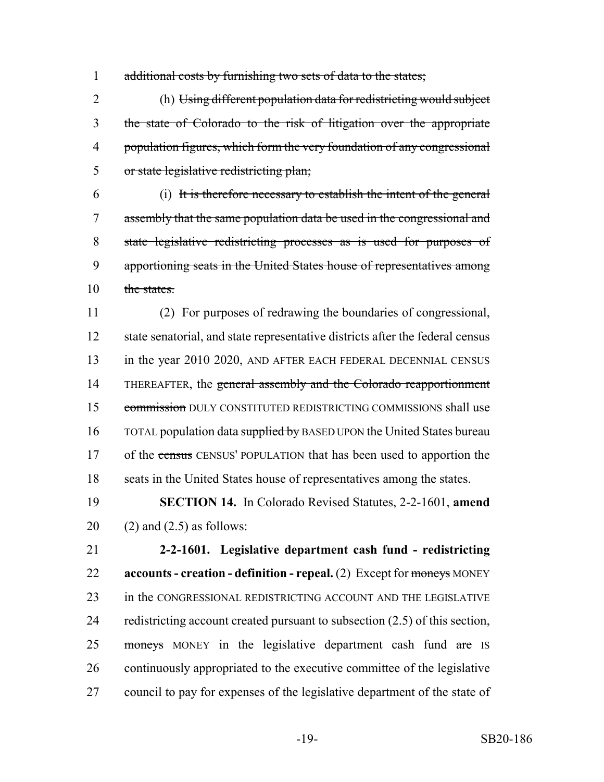1 additional costs by furnishing two sets of data to the states;

 (h) Using different population data for redistricting would subject the state of Colorado to the risk of litigation over the appropriate 4 population figures, which form the very foundation of any congressional or state legislative redistricting plan;

 (i) It is therefore necessary to establish the intent of the general assembly that the same population data be used in the congressional and state legislative redistricting processes as is used for purposes of apportioning seats in the United States house of representatives among 10 the states.

 (2) For purposes of redrawing the boundaries of congressional, state senatorial, and state representative districts after the federal census 13 in the year 2020, AND AFTER EACH FEDERAL DECENNIAL CENSUS 14 THEREAFTER, the general assembly and the Colorado reapportionment 15 commission DULY CONSTITUTED REDISTRICTING COMMISSIONS shall use 16 TOTAL population data supplied by BASED UPON the United States bureau 17 of the census CENSUS' POPULATION that has been used to apportion the seats in the United States house of representatives among the states.

 **SECTION 14.** In Colorado Revised Statutes, 2-2-1601, **amend** 20  $(2)$  and  $(2.5)$  as follows:

 **2-2-1601. Legislative department cash fund - redistricting accounts - creation - definition - repeal.** (2) Except for moneys MONEY in the CONGRESSIONAL REDISTRICTING ACCOUNT AND THE LEGISLATIVE redistricting account created pursuant to subsection (2.5) of this section, 25 moneys MONEY in the legislative department cash fund are IS continuously appropriated to the executive committee of the legislative council to pay for expenses of the legislative department of the state of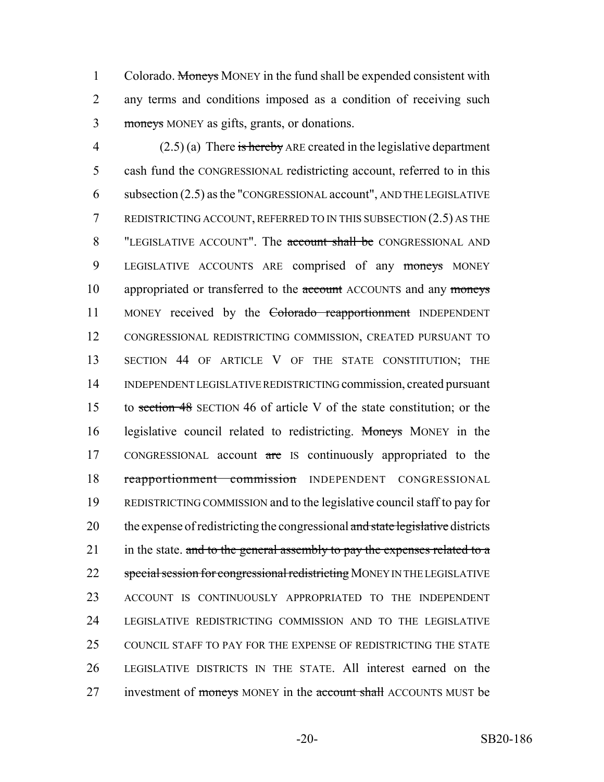1 Colorado. Moneys MONEY in the fund shall be expended consistent with 2 any terms and conditions imposed as a condition of receiving such 3 moneys MONEY as gifts, grants, or donations.

4 (2.5) (a) There is hereby ARE created in the legislative department 5 cash fund the CONGRESSIONAL redistricting account, referred to in this 6 subsection (2.5) as the "CONGRESSIONAL account", AND THE LEGISLATIVE 7 REDISTRICTING ACCOUNT, REFERRED TO IN THIS SUBSECTION (2.5) AS THE 8 "LEGISLATIVE ACCOUNT". The **account shall be** CONGRESSIONAL AND 9 LEGISLATIVE ACCOUNTS ARE comprised of any moneys MONEY 10 appropriated or transferred to the account ACCOUNTS and any moneys 11 MONEY received by the Colorado reapportionment INDEPENDENT 12 CONGRESSIONAL REDISTRICTING COMMISSION, CREATED PURSUANT TO 13 SECTION 44 OF ARTICLE V OF THE STATE CONSTITUTION; THE 14 INDEPENDENT LEGISLATIVE REDISTRICTING commission, created pursuant 15 to section 48 SECTION 46 of article V of the state constitution; or the 16 legislative council related to redistricting. Moneys MONEY in the 17 CONGRESSIONAL account are IS continuously appropriated to the 18 reapportionment commission INDEPENDENT CONGRESSIONAL 19 REDISTRICTING COMMISSION and to the legislative council staff to pay for 20 the expense of redistricting the congressional and state legislative districts 21 in the state. and to the general assembly to pay the expenses related to a 22 special session for congressional redistricting MONEY IN THE LEGISLATIVE 23 ACCOUNT IS CONTINUOUSLY APPROPRIATED TO THE INDEPENDENT 24 LEGISLATIVE REDISTRICTING COMMISSION AND TO THE LEGISLATIVE 25 COUNCIL STAFF TO PAY FOR THE EXPENSE OF REDISTRICTING THE STATE 26 LEGISLATIVE DISTRICTS IN THE STATE. All interest earned on the 27 investment of moneys MONEY in the account shall ACCOUNTS MUST be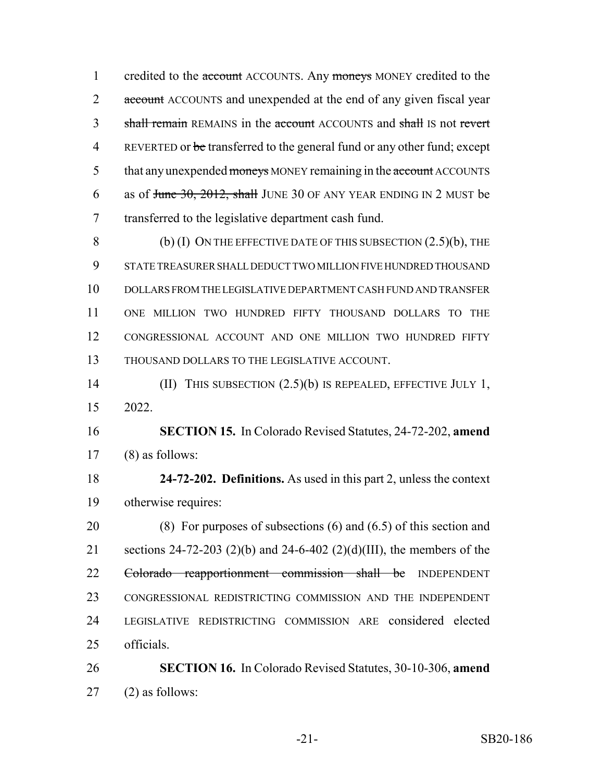1 credited to the account ACCOUNTS. Any moneys MONEY credited to the 2 account ACCOUNTS and unexpended at the end of any given fiscal year 3 shall remain REMAINS in the account ACCOUNTS and shall IS not revert 4 REVERTED or be transferred to the general fund or any other fund; except 5 that any unexpended moneys MONEY remaining in the account ACCOUNTS 6 as of <del>June 30, 2012, shall</del> JUNE 30 OF ANY YEAR ENDING IN 2 MUST be transferred to the legislative department cash fund.

8 (b) (I) ON THE EFFECTIVE DATE OF THIS SUBSECTION  $(2.5)(b)$ , THE STATE TREASURER SHALL DEDUCT TWO MILLION FIVE HUNDRED THOUSAND DOLLARS FROM THE LEGISLATIVE DEPARTMENT CASH FUND AND TRANSFER ONE MILLION TWO HUNDRED FIFTY THOUSAND DOLLARS TO THE CONGRESSIONAL ACCOUNT AND ONE MILLION TWO HUNDRED FIFTY THOUSAND DOLLARS TO THE LEGISLATIVE ACCOUNT.

 (II) THIS SUBSECTION (2.5)(b) IS REPEALED, EFFECTIVE JULY 1, 2022.

 **SECTION 15.** In Colorado Revised Statutes, 24-72-202, **amend** (8) as follows:

 **24-72-202. Definitions.** As used in this part 2, unless the context otherwise requires:

 (8) For purposes of subsections (6) and (6.5) of this section and sections 24-72-203 (2)(b) and 24-6-402 (2)(d)(III), the members of the Colorado reapportionment commission shall be INDEPENDENT CONGRESSIONAL REDISTRICTING COMMISSION AND THE INDEPENDENT LEGISLATIVE REDISTRICTING COMMISSION ARE considered elected officials.

 **SECTION 16.** In Colorado Revised Statutes, 30-10-306, **amend** (2) as follows: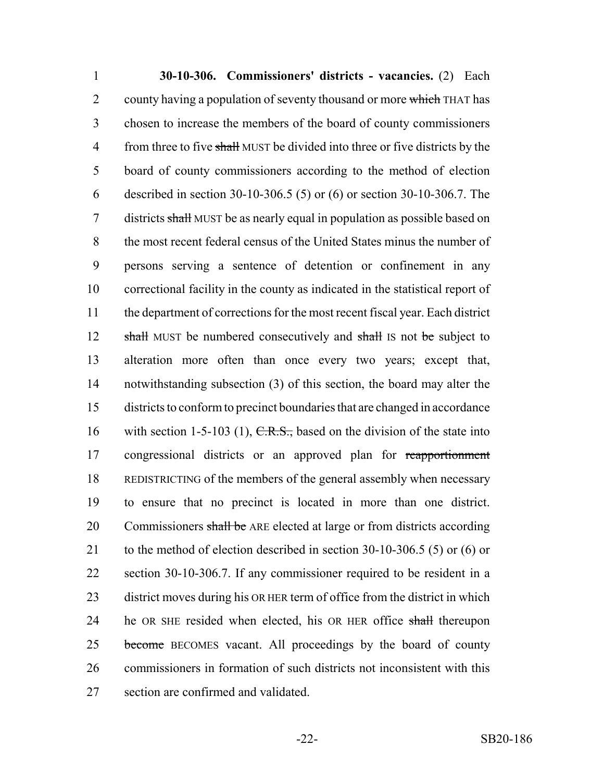**30-10-306. Commissioners' districts - vacancies.** (2) Each 2 county having a population of seventy thousand or more which THAT has chosen to increase the members of the board of county commissioners 4 from three to five shall MUST be divided into three or five districts by the board of county commissioners according to the method of election described in section 30-10-306.5 (5) or (6) or section 30-10-306.7. The 7 districts shall MUST be as nearly equal in population as possible based on the most recent federal census of the United States minus the number of persons serving a sentence of detention or confinement in any correctional facility in the county as indicated in the statistical report of the department of corrections for the most recent fiscal year. Each district 12 shall MUST be numbered consecutively and shall IS not be subject to alteration more often than once every two years; except that, notwithstanding subsection (3) of this section, the board may alter the districts to conform to precinct boundaries that are changed in accordance 16 with section 1-5-103 (1),  $C.R.S.,$  based on the division of the state into congressional districts or an approved plan for reapportionment REDISTRICTING of the members of the general assembly when necessary to ensure that no precinct is located in more than one district. 20 Commissioners shall be ARE elected at large or from districts according 21 to the method of election described in section 30-10-306.5 (5) or (6) or section 30-10-306.7. If any commissioner required to be resident in a district moves during his OR HER term of office from the district in which 24 he OR SHE resided when elected, his OR HER office shall thereupon 25 become BECOMES vacant. All proceedings by the board of county commissioners in formation of such districts not inconsistent with this section are confirmed and validated.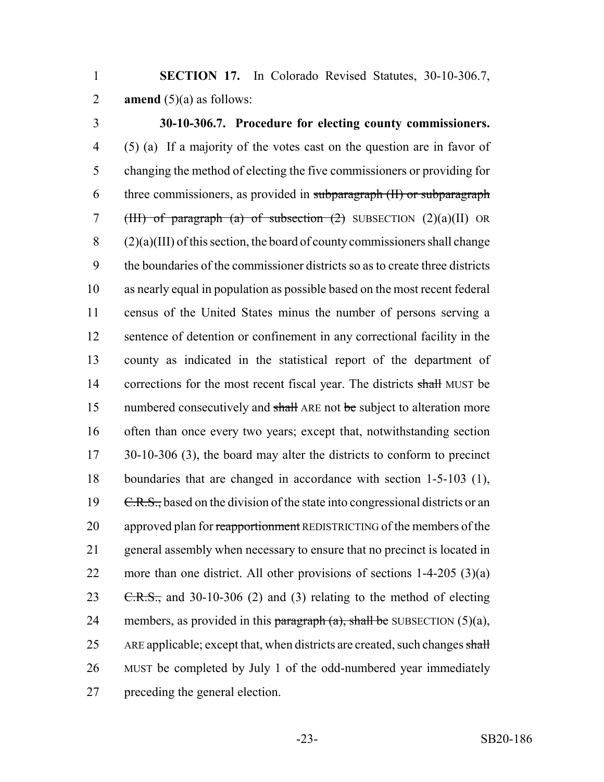1 **SECTION 17.** In Colorado Revised Statutes, 30-10-306.7, 2 **amend**  $(5)(a)$  as follows:

 **30-10-306.7. Procedure for electing county commissioners.** (5) (a) If a majority of the votes cast on the question are in favor of changing the method of electing the five commissioners or providing for three commissioners, as provided in subparagraph (II) or subparagraph 7 (HII) of paragraph (a) of subsection  $(2)$  SUBSECTION  $(2)(a)(II)$  OR (2)(a)(III) of this section, the board of county commissioners shall change the boundaries of the commissioner districts so as to create three districts as nearly equal in population as possible based on the most recent federal census of the United States minus the number of persons serving a sentence of detention or confinement in any correctional facility in the county as indicated in the statistical report of the department of 14 corrections for the most recent fiscal year. The districts shall MUST be 15 numbered consecutively and shall ARE not be subject to alteration more often than once every two years; except that, notwithstanding section 17 30-10-306 (3), the board may alter the districts to conform to precinct boundaries that are changed in accordance with section 1-5-103 (1), 19 C.R.S., based on the division of the state into congressional districts or an 20 approved plan for reapportionment REDISTRICTING of the members of the general assembly when necessary to ensure that no precinct is located in 22 more than one district. All other provisions of sections  $1-4-205$  (3)(a)  $\text{C.R.S.},$  and 30-10-306 (2) and (3) relating to the method of electing 24 members, as provided in this paragraph  $(a)$ , shall be SUBSECTION  $(5)(a)$ , 25 ARE applicable; except that, when districts are created, such changes shall MUST be completed by July 1 of the odd-numbered year immediately preceding the general election.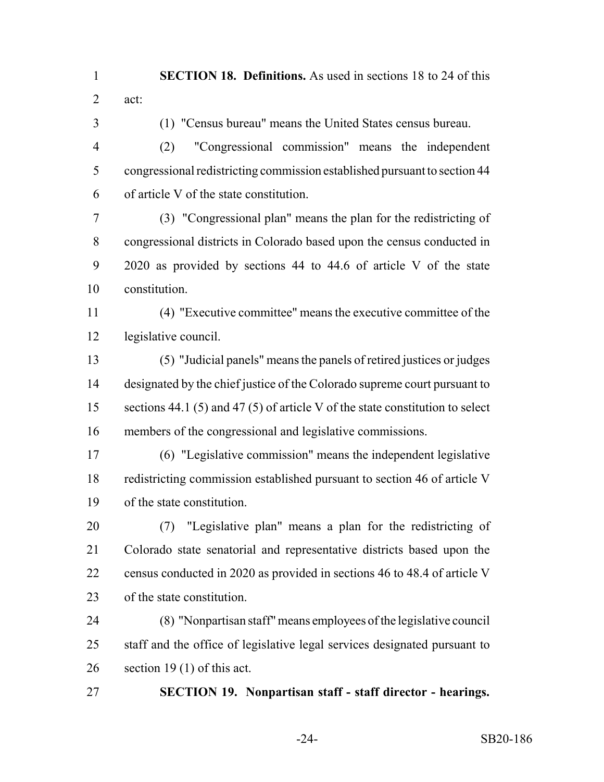**SECTION 18. Definitions.** As used in sections 18 to 24 of this act:

(1) "Census bureau" means the United States census bureau.

 (2) "Congressional commission" means the independent congressional redistricting commission established pursuant to section 44 of article V of the state constitution.

 (3) "Congressional plan" means the plan for the redistricting of congressional districts in Colorado based upon the census conducted in 2020 as provided by sections 44 to 44.6 of article V of the state constitution.

 (4) "Executive committee" means the executive committee of the legislative council.

 (5) "Judicial panels" means the panels of retired justices or judges designated by the chief justice of the Colorado supreme court pursuant to 15 sections 44.1 (5) and 47 (5) of article V of the state constitution to select members of the congressional and legislative commissions.

 (6) "Legislative commission" means the independent legislative redistricting commission established pursuant to section 46 of article V of the state constitution.

 (7) "Legislative plan" means a plan for the redistricting of Colorado state senatorial and representative districts based upon the census conducted in 2020 as provided in sections 46 to 48.4 of article V of the state constitution.

 (8) "Nonpartisan staff" means employees of the legislative council staff and the office of legislative legal services designated pursuant to section 19 (1) of this act.

**SECTION 19. Nonpartisan staff - staff director - hearings.**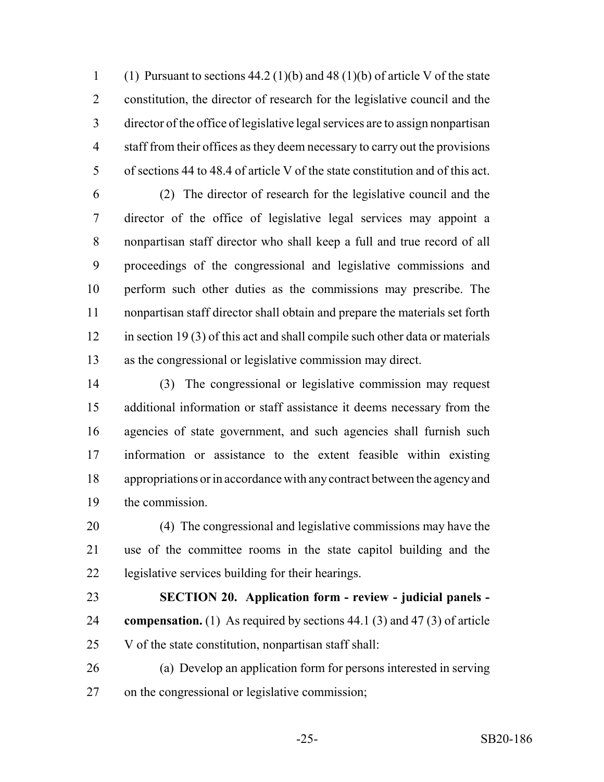1 (1) Pursuant to sections  $44.2 \cdot (1)(b)$  and  $48 \cdot (1)(b)$  of article V of the state constitution, the director of research for the legislative council and the director of the office of legislative legal services are to assign nonpartisan staff from their offices as they deem necessary to carry out the provisions of sections 44 to 48.4 of article V of the state constitution and of this act.

 (2) The director of research for the legislative council and the director of the office of legislative legal services may appoint a nonpartisan staff director who shall keep a full and true record of all proceedings of the congressional and legislative commissions and perform such other duties as the commissions may prescribe. The nonpartisan staff director shall obtain and prepare the materials set forth in section 19 (3) of this act and shall compile such other data or materials as the congressional or legislative commission may direct.

 (3) The congressional or legislative commission may request additional information or staff assistance it deems necessary from the agencies of state government, and such agencies shall furnish such information or assistance to the extent feasible within existing appropriations or in accordance with any contract between the agency and the commission.

 (4) The congressional and legislative commissions may have the use of the committee rooms in the state capitol building and the legislative services building for their hearings.

## **SECTION 20. Application form - review - judicial panels -**

- **compensation.** (1) As required by sections 44.1 (3) and 47 (3) of article V of the state constitution, nonpartisan staff shall:
- (a) Develop an application form for persons interested in serving on the congressional or legislative commission;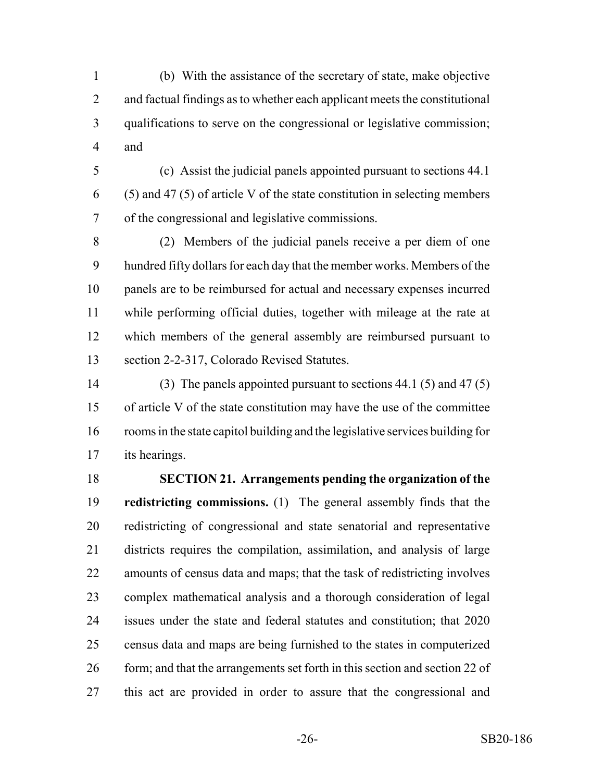(b) With the assistance of the secretary of state, make objective and factual findings as to whether each applicant meets the constitutional qualifications to serve on the congressional or legislative commission; and

 (c) Assist the judicial panels appointed pursuant to sections 44.1 (5) and 47 (5) of article V of the state constitution in selecting members of the congressional and legislative commissions.

 (2) Members of the judicial panels receive a per diem of one hundred fifty dollars for each day that the member works. Members of the panels are to be reimbursed for actual and necessary expenses incurred while performing official duties, together with mileage at the rate at which members of the general assembly are reimbursed pursuant to section 2-2-317, Colorado Revised Statutes.

 (3) The panels appointed pursuant to sections 44.1 (5) and 47 (5) of article V of the state constitution may have the use of the committee rooms in the state capitol building and the legislative services building for its hearings.

 **SECTION 21. Arrangements pending the organization of the redistricting commissions.** (1) The general assembly finds that the redistricting of congressional and state senatorial and representative districts requires the compilation, assimilation, and analysis of large amounts of census data and maps; that the task of redistricting involves complex mathematical analysis and a thorough consideration of legal issues under the state and federal statutes and constitution; that 2020 census data and maps are being furnished to the states in computerized 26 form; and that the arrangements set forth in this section and section 22 of this act are provided in order to assure that the congressional and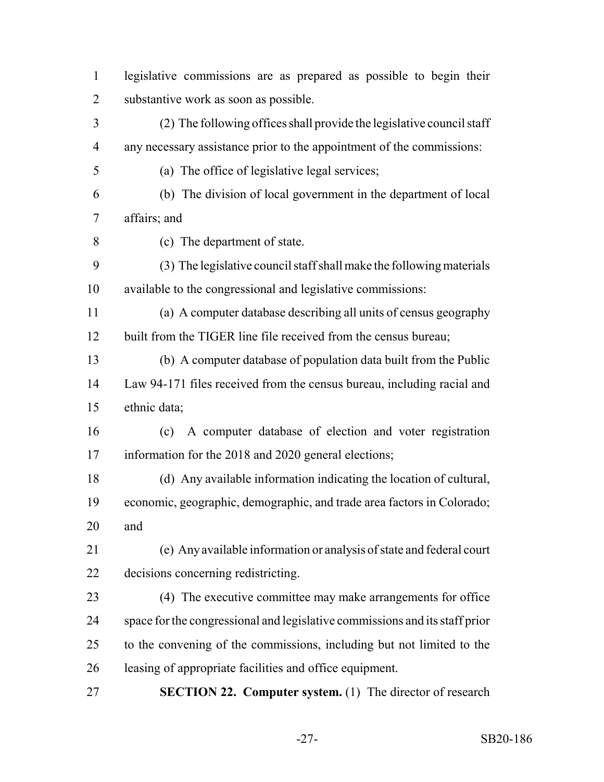| $\mathbf{1}$   | legislative commissions are as prepared as possible to begin their          |
|----------------|-----------------------------------------------------------------------------|
| $\overline{2}$ | substantive work as soon as possible.                                       |
| 3              | (2) The following offices shall provide the legislative council staff       |
| 4              | any necessary assistance prior to the appointment of the commissions:       |
| 5              | (a) The office of legislative legal services;                               |
| 6              | (b) The division of local government in the department of local             |
| 7              | affairs; and                                                                |
| 8              | (c) The department of state.                                                |
| 9              | (3) The legislative council staff shall make the following materials        |
| 10             | available to the congressional and legislative commissions:                 |
| 11             | (a) A computer database describing all units of census geography            |
| 12             | built from the TIGER line file received from the census bureau;             |
| 13             | (b) A computer database of population data built from the Public            |
| 14             | Law 94-171 files received from the census bureau, including racial and      |
| 15             | ethnic data;                                                                |
| 16             | (c) A computer database of election and voter registration                  |
| 17             | information for the 2018 and 2020 general elections;                        |
| 18             | (d) Any available information indicating the location of cultural,          |
| 19             | economic, geographic, demographic, and trade area factors in Colorado;      |
| 20             | and                                                                         |
| 21             | (e) Any available information or analysis of state and federal court        |
| 22             | decisions concerning redistricting.                                         |
| 23             | (4) The executive committee may make arrangements for office                |
| 24             | space for the congressional and legislative commissions and its staff prior |
| 25             | to the convening of the commissions, including but not limited to the       |
| 26             | leasing of appropriate facilities and office equipment.                     |
| 27             | <b>SECTION 22. Computer system.</b> (1) The director of research            |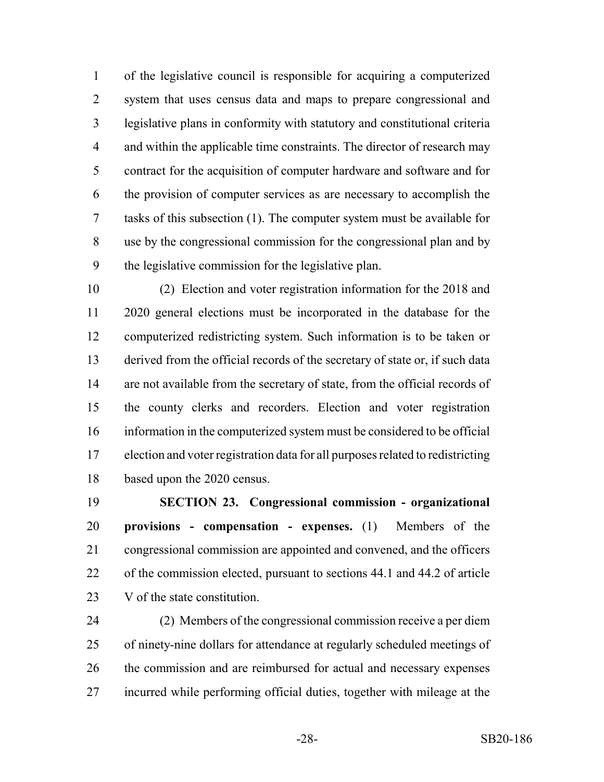of the legislative council is responsible for acquiring a computerized system that uses census data and maps to prepare congressional and legislative plans in conformity with statutory and constitutional criteria 4 and within the applicable time constraints. The director of research may contract for the acquisition of computer hardware and software and for the provision of computer services as are necessary to accomplish the tasks of this subsection (1). The computer system must be available for use by the congressional commission for the congressional plan and by the legislative commission for the legislative plan.

 (2) Election and voter registration information for the 2018 and 2020 general elections must be incorporated in the database for the computerized redistricting system. Such information is to be taken or derived from the official records of the secretary of state or, if such data are not available from the secretary of state, from the official records of the county clerks and recorders. Election and voter registration information in the computerized system must be considered to be official election and voter registration data for all purposes related to redistricting based upon the 2020 census.

 **SECTION 23. Congressional commission - organizational provisions - compensation - expenses.** (1) Members of the congressional commission are appointed and convened, and the officers of the commission elected, pursuant to sections 44.1 and 44.2 of article V of the state constitution.

 (2) Members of the congressional commission receive a per diem of ninety-nine dollars for attendance at regularly scheduled meetings of the commission and are reimbursed for actual and necessary expenses incurred while performing official duties, together with mileage at the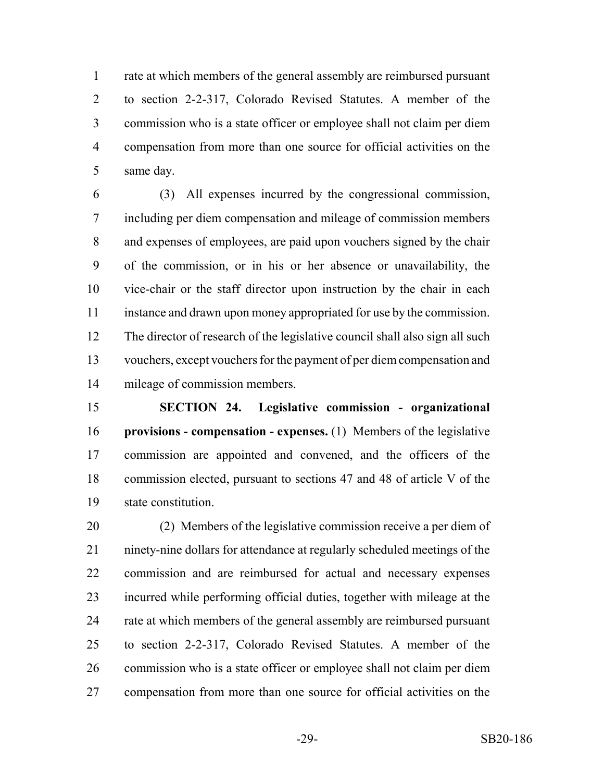rate at which members of the general assembly are reimbursed pursuant to section 2-2-317, Colorado Revised Statutes. A member of the commission who is a state officer or employee shall not claim per diem compensation from more than one source for official activities on the same day.

 (3) All expenses incurred by the congressional commission, including per diem compensation and mileage of commission members and expenses of employees, are paid upon vouchers signed by the chair of the commission, or in his or her absence or unavailability, the vice-chair or the staff director upon instruction by the chair in each instance and drawn upon money appropriated for use by the commission. The director of research of the legislative council shall also sign all such vouchers, except vouchers for the payment of per diem compensation and mileage of commission members.

 **SECTION 24. Legislative commission - organizational provisions - compensation - expenses.** (1) Members of the legislative commission are appointed and convened, and the officers of the commission elected, pursuant to sections 47 and 48 of article V of the state constitution.

 (2) Members of the legislative commission receive a per diem of ninety-nine dollars for attendance at regularly scheduled meetings of the commission and are reimbursed for actual and necessary expenses incurred while performing official duties, together with mileage at the rate at which members of the general assembly are reimbursed pursuant to section 2-2-317, Colorado Revised Statutes. A member of the commission who is a state officer or employee shall not claim per diem compensation from more than one source for official activities on the